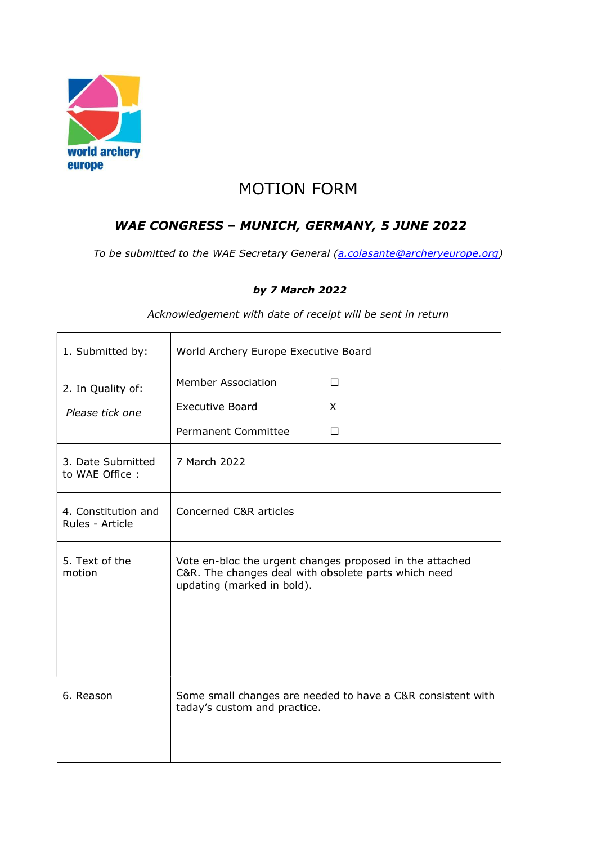

# MOTION FORM

# WAE CONGRESS – MUNICH, GERMANY, 5 JUNE 2022

To be submitted to the WAE Secretary General (a.colasante@archeryeurope.org)

#### by 7 March 2022

| 1. Submitted by:                       | World Archery Europe Executive Board                                                                                                           |         |
|----------------------------------------|------------------------------------------------------------------------------------------------------------------------------------------------|---------|
| 2. In Quality of:                      | <b>Member Association</b>                                                                                                                      | П       |
| Please tick one                        | <b>Executive Board</b>                                                                                                                         | X       |
|                                        | <b>Permanent Committee</b>                                                                                                                     | $\perp$ |
| 3. Date Submitted<br>to WAE Office:    | 7 March 2022                                                                                                                                   |         |
| 4. Constitution and<br>Rules - Article | Concerned C&R articles                                                                                                                         |         |
| 5. Text of the<br>motion               | Vote en-bloc the urgent changes proposed in the attached<br>C&R. The changes deal with obsolete parts which need<br>updating (marked in bold). |         |
| 6. Reason                              | Some small changes are needed to have a C&R consistent with<br>taday's custom and practice.                                                    |         |

Acknowledgement with date of receipt will be sent in return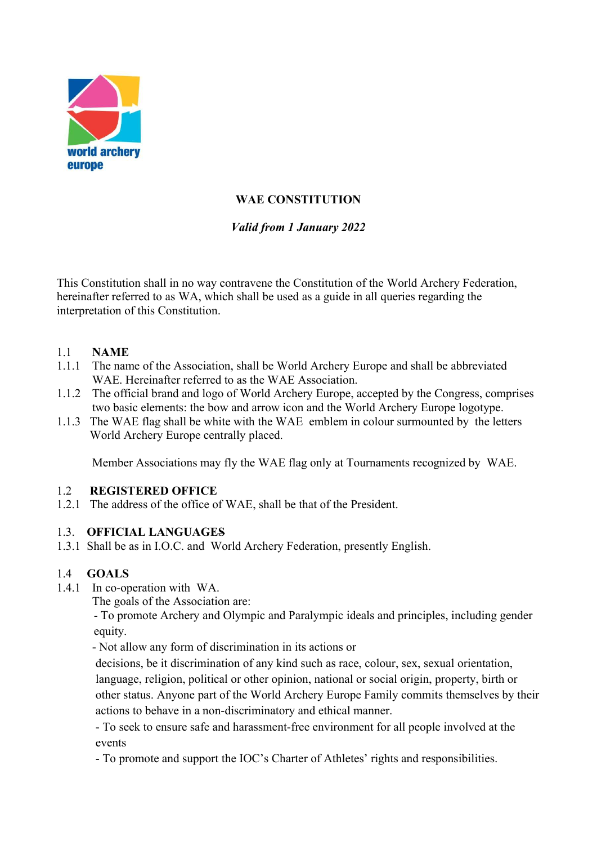

# WAE CONSTITUTION

# Valid from 1 January 2022

This Constitution shall in no way contravene the Constitution of the World Archery Federation, hereinafter referred to as WA, which shall be used as a guide in all queries regarding the interpretation of this Constitution.

## 1.1 NAME

- 1.1.1 The name of the Association, shall be World Archery Europe and shall be abbreviated WAE. Hereinafter referred to as the WAE Association.
- 1.1.2 The official brand and logo of World Archery Europe, accepted by the Congress, comprises two basic elements: the bow and arrow icon and the World Archery Europe logotype.
- 1.1.3 The WAE flag shall be white with the WAE emblem in colour surmounted by the letters World Archery Europe centrally placed.

Member Associations may fly the WAE flag only at Tournaments recognized by WAE.

## 1.2 REGISTERED OFFICE

1.2.1 The address of the office of WAE, shall be that of the President.

## 1.3. OFFICIAL LANGUAGES

1.3.1 Shall be as in I.O.C. and World Archery Federation, presently English.

## 1.4 GOALS

- 1.4.1 In co-operation with WA.
	- The goals of the Association are:

- To promote Archery and Olympic and Paralympic ideals and principles, including gender equity.

- Not allow any form of discrimination in its actions or

decisions, be it discrimination of any kind such as race, colour, sex, sexual orientation, language, religion, political or other opinion, national or social origin, property, birth or other status. Anyone part of the World Archery Europe Family commits themselves by their actions to behave in a non-discriminatory and ethical manner.

- To seek to ensure safe and harassment-free environment for all people involved at the events

- To promote and support the IOC's Charter of Athletes' rights and responsibilities.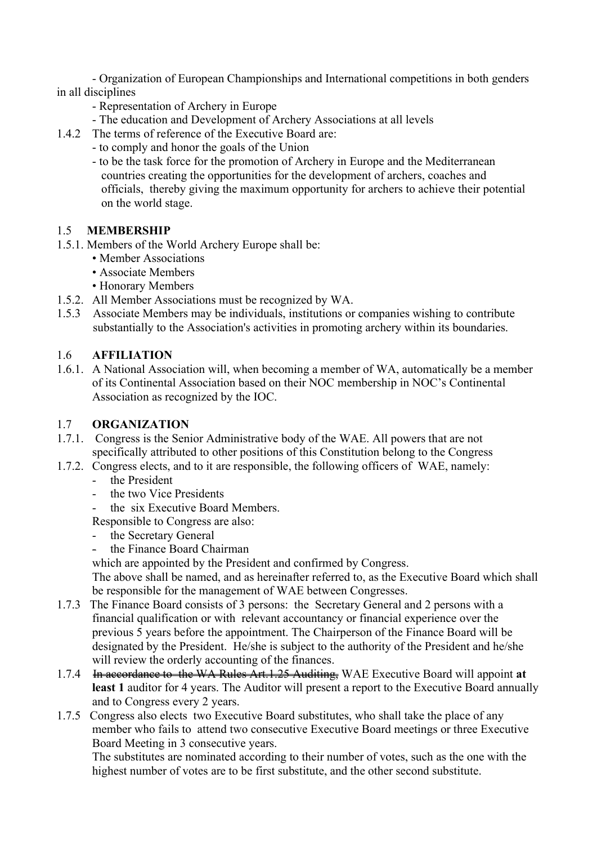- Organization of European Championships and International competitions in both genders in all disciplines

- Representation of Archery in Europe
- The education and Development of Archery Associations at all levels
- 1.4.2 The terms of reference of the Executive Board are:
	- to comply and honor the goals of the Union
	- to be the task force for the promotion of Archery in Europe and the Mediterranean countries creating the opportunities for the development of archers, coaches and officials, thereby giving the maximum opportunity for archers to achieve their potential on the world stage.

## 1.5 MEMBERSHIP

- 1.5.1. Members of the World Archery Europe shall be:
	- Member Associations
	- Associate Members
	- Honorary Members
- 1.5.2. All Member Associations must be recognized by WA.
- 1.5.3 Associate Members may be individuals, institutions or companies wishing to contribute substantially to the Association's activities in promoting archery within its boundaries.

## 1.6 AFFILIATION

1.6.1. A National Association will, when becoming a member of WA, automatically be a member of its Continental Association based on their NOC membership in NOC's Continental Association as recognized by the IOC.

## 1.7 ORGANIZATION

- 1.7.1. Congress is the Senior Administrative body of the WAE. All powers that are not specifically attributed to other positions of this Constitution belong to the Congress
- 1.7.2. Congress elects, and to it are responsible, the following officers of WAE, namely:
	- the President
	- the two Vice Presidents
	- the six Executive Board Members.

Responsible to Congress are also:

- the Secretary General
- the Finance Board Chairman

which are appointed by the President and confirmed by Congress.

The above shall be named, and as hereinafter referred to, as the Executive Board which shall be responsible for the management of WAE between Congresses.

- 1.7.3 The Finance Board consists of 3 persons: the Secretary General and 2 persons with a financial qualification or with relevant accountancy or financial experience over the previous 5 years before the appointment. The Chairperson of the Finance Board will be designated by the President. He/she is subject to the authority of the President and he/she will review the orderly accounting of the finances.
- 1.7.4 In accordance to the WA Rules Art.1.25 Auditing, WAE Executive Board will appoint at least 1 auditor for 4 years. The Auditor will present a report to the Executive Board annually and to Congress every 2 years.
- 1.7.5 Congress also elects two Executive Board substitutes, who shall take the place of any member who fails to attend two consecutive Executive Board meetings or three Executive Board Meeting in 3 consecutive years.

The substitutes are nominated according to their number of votes, such as the one with the highest number of votes are to be first substitute, and the other second substitute.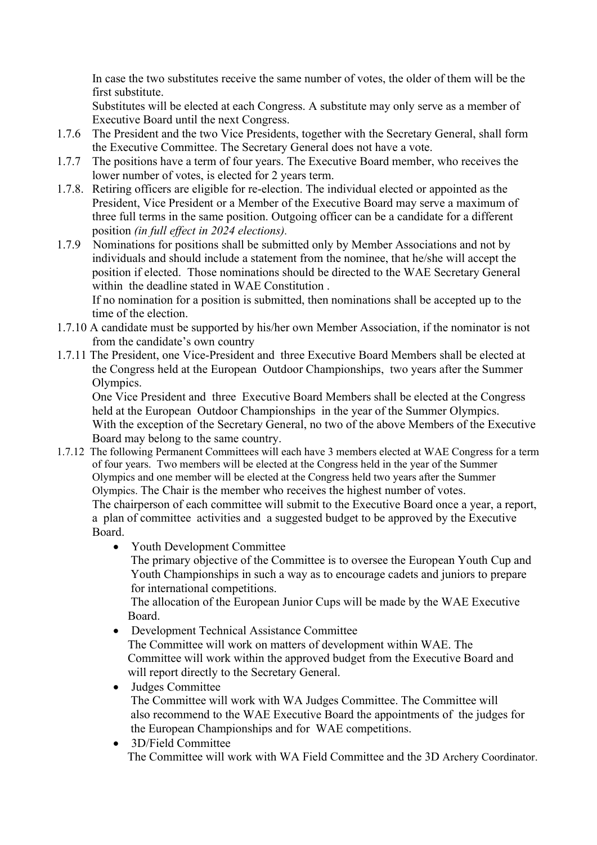In case the two substitutes receive the same number of votes, the older of them will be the first substitute.

Substitutes will be elected at each Congress. A substitute may only serve as a member of Executive Board until the next Congress.

- 1.7.6 The President and the two Vice Presidents, together with the Secretary General, shall form the Executive Committee. The Secretary General does not have a vote.
- 1.7.7 The positions have a term of four years. The Executive Board member, who receives the lower number of votes, is elected for 2 years term.
- 1.7.8. Retiring officers are eligible for re-election. The individual elected or appointed as the President, Vice President or a Member of the Executive Board may serve a maximum of three full terms in the same position. Outgoing officer can be a candidate for a different
- position (in full effect in 2024 elections).<br>1.7.9 Nominations for positions shall be subm Nominations for positions shall be submitted only by Member Associations and not by individuals and should include a statement from the nominee, that he/she will accept the position if elected. Those nominations should be directed to the WAE Secretary General within the deadline stated in WAE Constitution .

If no nomination for a position is submitted, then nominations shall be accepted up to the time of the election.

- 1.7.10 A candidate must be supported by his/her own Member Association, if the nominator is not from the candidate's own country
- 1.7.11 The President, one Vice-President and three Executive Board Members shall be elected at the Congress held at the European Outdoor Championships, two years after the Summer Olympics.

One Vice President and three Executive Board Members shall be elected at the Congress held at the European Outdoor Championships in the year of the Summer Olympics. With the exception of the Secretary General, no two of the above Members of the Executive Board may belong to the same country.

- 1.7.12 The following Permanent Committees will each have 3 members elected at WAE Congress for a term of four years. Two members will be elected at the Congress held in the year of the Summer Olympics and one member will be elected at the Congress held two years after the Summer Olympics. The Chair is the member who receives the highest number of votes. The chairperson of each committee will submit to the Executive Board once a year, a report, a plan of committee activities and a suggested budget to be approved by the Executive Board.
	- Youth Development Committee

 The primary objective of the Committee is to oversee the European Youth Cup and Youth Championships in such a way as to encourage cadets and juniors to prepare for international competitions.

 The allocation of the European Junior Cups will be made by the WAE Executive Board.

- Development Technical Assistance Committee The Committee will work on matters of development within WAE. The Committee will work within the approved budget from the Executive Board and will report directly to the Secretary General.
- Judges Committee The Committee will work with WA Judges Committee. The Committee will also recommend to the WAE Executive Board the appointments of the judges for the European Championships and for WAE competitions.
- 3D/Field Committee The Committee will work with WA Field Committee and the 3D Archery Coordinator.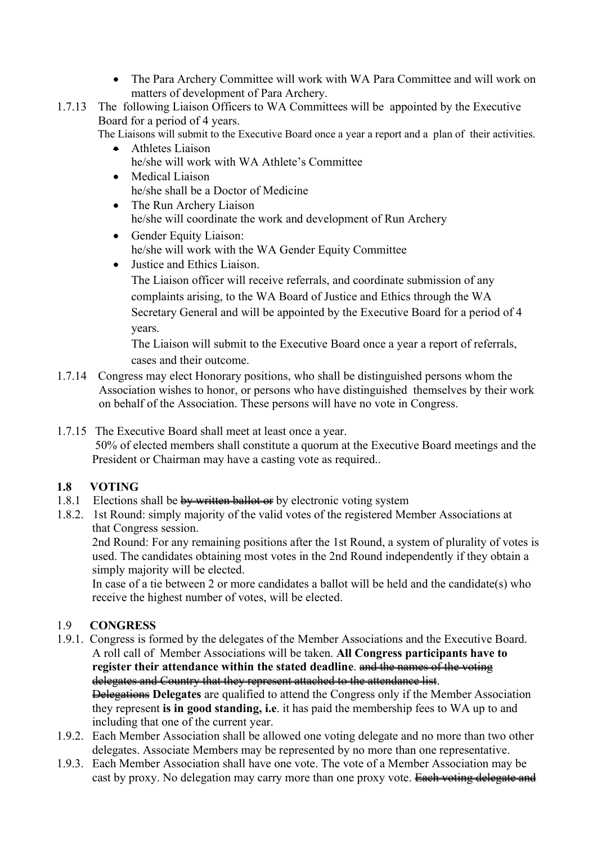- The Para Archery Committee will work with WA Para Committee and will work on matters of development of Para Archery.
- 1.7.13 The following Liaison Officers to WA Committees will be appointed by the Executive Board for a period of 4 years.

The Liaisons will submit to the Executive Board once a year a report and a plan of their activities.

- Athletes Liaison he/she will work with WA Athlete's Committee
- Medical Liaison he/she shall be a Doctor of Medicine
- The Run Archery Liaison he/she will coordinate the work and development of Run Archery
- Gender Equity Liaison: he/she will work with the WA Gender Equity Committee
- Justice and Ethics Liaison. The Liaison officer will receive referrals, and coordinate submission of any complaints arising, to the WA Board of Justice and Ethics through the WA Secretary General and will be appointed by the Executive Board for a period of 4 years.

The Liaison will submit to the Executive Board once a year a report of referrals, cases and their outcome.

- 1.7.14 Congress may elect Honorary positions, who shall be distinguished persons whom the Association wishes to honor, or persons who have distinguished themselves by their work on behalf of the Association. These persons will have no vote in Congress.
- 1.7.15 The Executive Board shall meet at least once a year. 50% of elected members shall constitute a quorum at the Executive Board meetings and the President or Chairman may have a casting vote as required..

## 1.8 VOTING

- 1.8.1 Elections shall be  $\frac{b}{y}$  written ballot or by electronic voting system
- 1.8.2. 1st Round: simply majority of the valid votes of the registered Member Associations at that Congress session.

2nd Round: For any remaining positions after the 1st Round, a system of plurality of votes is used. The candidates obtaining most votes in the 2nd Round independently if they obtain a simply majority will be elected.

In case of a tie between 2 or more candidates a ballot will be held and the candidate(s) who receive the highest number of votes, will be elected.

## 1.9 CONGRESS

- 1.9.1. Congress is formed by the delegates of the Member Associations and the Executive Board. A roll call of Member Associations will be taken. All Congress participants have to register their attendance within the stated deadline. and the names of the voting delegates and Country that they represent attached to the attendance list. Delegations Delegates are qualified to attend the Congress only if the Member Association they represent is in good standing, i.e. it has paid the membership fees to WA up to and including that one of the current year.
- 1.9.2. Each Member Association shall be allowed one voting delegate and no more than two other delegates. Associate Members may be represented by no more than one representative.
- 1.9.3. Each Member Association shall have one vote. The vote of a Member Association may be cast by proxy. No delegation may carry more than one proxy vote. Each voting delegate and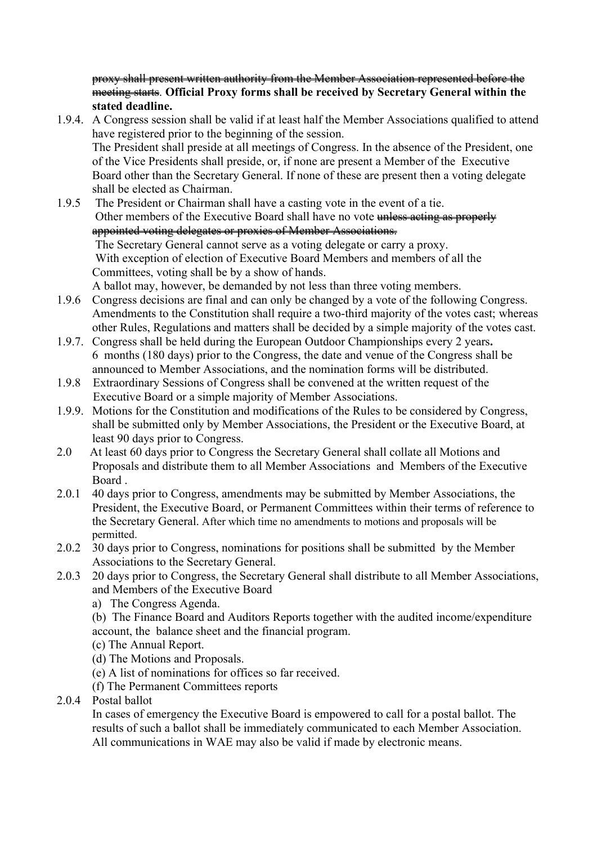proxy shall present written authority from the Member Association represented before the meeting starts. Official Proxy forms shall be received by Secretary General within the stated deadline.

- 1.9.4. A Congress session shall be valid if at least half the Member Associations qualified to attend have registered prior to the beginning of the session. The President shall preside at all meetings of Congress. In the absence of the President, one of the Vice Presidents shall preside, or, if none are present a Member of the Executive Board other than the Secretary General. If none of these are present then a voting delegate shall be elected as Chairman.
- 1.9.5 The President or Chairman shall have a casting vote in the event of a tie. Other members of the Executive Board shall have no vote unless acting as properly appointed voting delegates or proxies of Member Associations. The Secretary General cannot serve as a voting delegate or carry a proxy. With exception of election of Executive Board Members and members of all the Committees, voting shall be by a show of hands. A ballot may, however, be demanded by not less than three voting members.
- 1.9.6 Congress decisions are final and can only be changed by a vote of the following Congress. Amendments to the Constitution shall require a two-third majority of the votes cast; whereas other Rules, Regulations and matters shall be decided by a simple majority of the votes cast.
- 1.9.7. Congress shall be held during the European Outdoor Championships every 2 years. 6 months (180 days) prior to the Congress, the date and venue of the Congress shall be announced to Member Associations, and the nomination forms will be distributed.
- 1.9.8 Extraordinary Sessions of Congress shall be convened at the written request of the Executive Board or a simple majority of Member Associations.
- 1.9.9. Motions for the Constitution and modifications of the Rules to be considered by Congress, shall be submitted only by Member Associations, the President or the Executive Board, at least 90 days prior to Congress.
- 2.0 At least 60 days prior to Congress the Secretary General shall collate all Motions and Proposals and distribute them to all Member Associations and Members of the Executive Board .
- 2.0.1 40 days prior to Congress, amendments may be submitted by Member Associations, the President, the Executive Board, or Permanent Committees within their terms of reference to the Secretary General. After which time no amendments to motions and proposals will be permitted.
- 2.0.2 30 days prior to Congress, nominations for positions shall be submitted by the Member Associations to the Secretary General.
- 2.0.3 20 days prior to Congress, the Secretary General shall distribute to all Member Associations, and Members of the Executive Board
	- a) The Congress Agenda.
	- (b) The Finance Board and Auditors Reports together with the audited income/expenditure account, the balance sheet and the financial program.
	- (c) The Annual Report.
	- (d) The Motions and Proposals.
	- (e) A list of nominations for offices so far received.
	- (f) The Permanent Committees reports
- 2.0.4 Postal ballot

In cases of emergency the Executive Board is empowered to call for a postal ballot. The results of such a ballot shall be immediately communicated to each Member Association. All communications in WAE may also be valid if made by electronic means.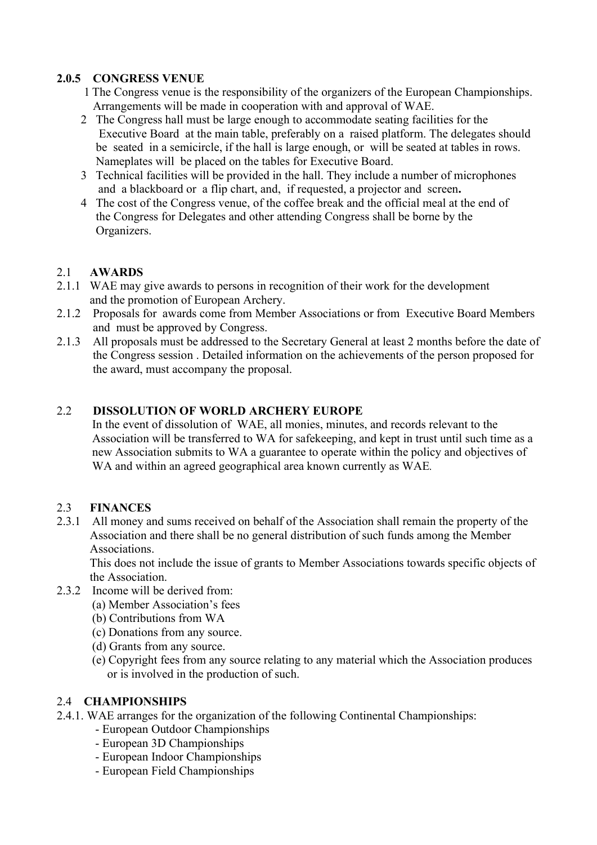## 2.0.5 CONGRESS VENUE

1 The Congress venue is the responsibility of the organizers of the European Championships. Arrangements will be made in cooperation with and approval of WAE.

- 2 The Congress hall must be large enough to accommodate seating facilities for the Executive Board at the main table, preferably on a raised platform. The delegates should be seated in a semicircle, if the hall is large enough, or will be seated at tables in rows. Nameplates will be placed on the tables for Executive Board.
- 3 Technical facilities will be provided in the hall. They include a number of microphones and a blackboard or a flip chart, and, if requested, a projector and screen.
- 4 The cost of the Congress venue, of the coffee break and the official meal at the end of the Congress for Delegates and other attending Congress shall be borne by the Organizers.

# 2.1 AWARDS

- 2.1.1 WAE may give awards to persons in recognition of their work for the development and the promotion of European Archery.
- 2.1.2 Proposals for awards come from Member Associations or from Executive Board Members and must be approved by Congress.
- 2.1.3 All proposals must be addressed to the Secretary General at least 2 months before the date of the Congress session . Detailed information on the achievements of the person proposed for the award, must accompany the proposal.

## 2.2 DISSOLUTION OF WORLD ARCHERY EUROPE

In the event of dissolution of WAE, all monies, minutes, and records relevant to the Association will be transferred to WA for safekeeping, and kept in trust until such time as a new Association submits to WA a guarantee to operate within the policy and objectives of WA and within an agreed geographical area known currently as WAE.

## 2.3 FINANCES

2.3.1 All money and sums received on behalf of the Association shall remain the property of the Association and there shall be no general distribution of such funds among the Member Associations.

 This does not include the issue of grants to Member Associations towards specific objects of the Association.

- 2.3.2 Income will be derived from:
	- (a) Member Association's fees
	- (b) Contributions from WA
	- (c) Donations from any source.
	- (d) Grants from any source.
	- (e) Copyright fees from any source relating to any material which the Association produces or is involved in the production of such.

## 2.4 CHAMPIONSHIPS

- 2.4.1. WAE arranges for the organization of the following Continental Championships:
	- European Outdoor Championships
	- European 3D Championships
	- European Indoor Championships
	- European Field Championships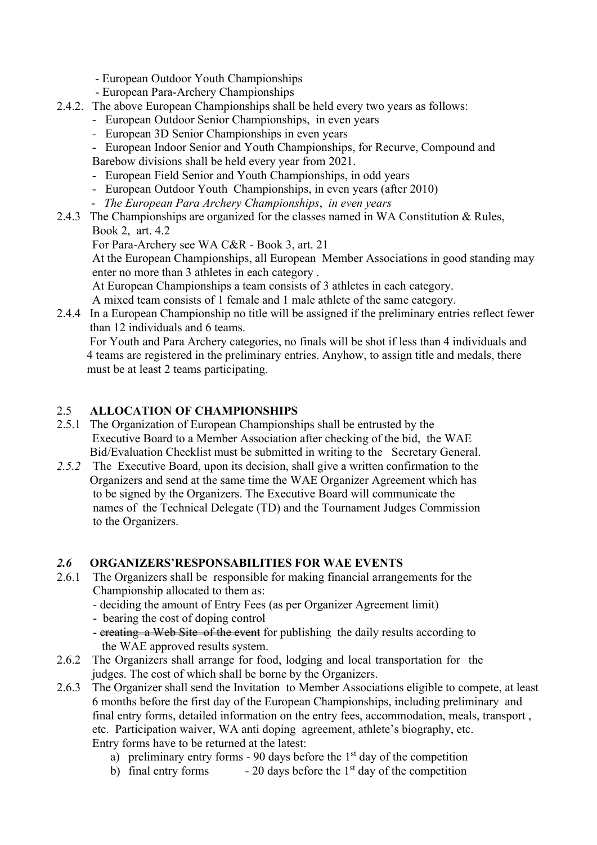- European Outdoor Youth Championships
- European Para-Archery Championships
- 2.4.2. The above European Championships shall be held every two years as follows:
	- European Outdoor Senior Championships, in even years
	- European 3D Senior Championships in even years
	- European Indoor Senior and Youth Championships, for Recurve, Compound and Barebow divisions shall be held every year from 2021.
	- European Field Senior and Youth Championships, in odd years
	- European Outdoor Youth Championships, in even years (after 2010)
	- The European Para Archery Championships, in even years
- 2.4.3 The Championships are organized for the classes named in WA Constitution & Rules, Book 2, art. 4.2

For Para-Archery see WA C&R - Book 3, art. 21

At the European Championships, all European Member Associations in good standing may enter no more than 3 athletes in each category .

At European Championships a team consists of 3 athletes in each category.

A mixed team consists of 1 female and 1 male athlete of the same category.

2.4.4 In a European Championship no title will be assigned if the preliminary entries reflect fewer than 12 individuals and 6 teams.

 For Youth and Para Archery categories, no finals will be shot if less than 4 individuals and 4 teams are registered in the preliminary entries. Anyhow, to assign title and medals, there must be at least 2 teams participating.

## 2.5 ALLOCATION OF CHAMPIONSHIPS

- 2.5.1 The Organization of European Championships shall be entrusted by the Executive Board to a Member Association after checking of the bid, the WAE Bid/Evaluation Checklist must be submitted in writing to the Secretary General.
- 2.5.2 The Executive Board, upon its decision, shall give a written confirmation to the Organizers and send at the same time the WAE Organizer Agreement which has to be signed by the Organizers. The Executive Board will communicate the names of the Technical Delegate (TD) and the Tournament Judges Commission to the Organizers.

#### 2.6 ORGANIZERS'RESPONSABILITIES FOR WAE EVENTS

- 2.6.1 The Organizers shall be responsible for making financial arrangements for the Championship allocated to them as:
	- deciding the amount of Entry Fees (as per Organizer Agreement limit)
	- bearing the cost of doping control
	- ereating a Web Site of the event for publishing the daily results according to the WAE approved results system.
- 2.6.2 The Organizers shall arrange for food, lodging and local transportation for the judges. The cost of which shall be borne by the Organizers.
- 2.6.3 The Organizer shall send the Invitation to Member Associations eligible to compete, at least 6 months before the first day of the European Championships, including preliminary and final entry forms, detailed information on the entry fees, accommodation, meals, transport , etc. Participation waiver, WA anti doping agreement, athlete's biography, etc. Entry forms have to be returned at the latest:
	- a) preliminary entry forms 90 days before the  $1<sup>st</sup>$  day of the competition
	- b) final entry forms  $-20$  days before the 1<sup>st</sup> day of the competition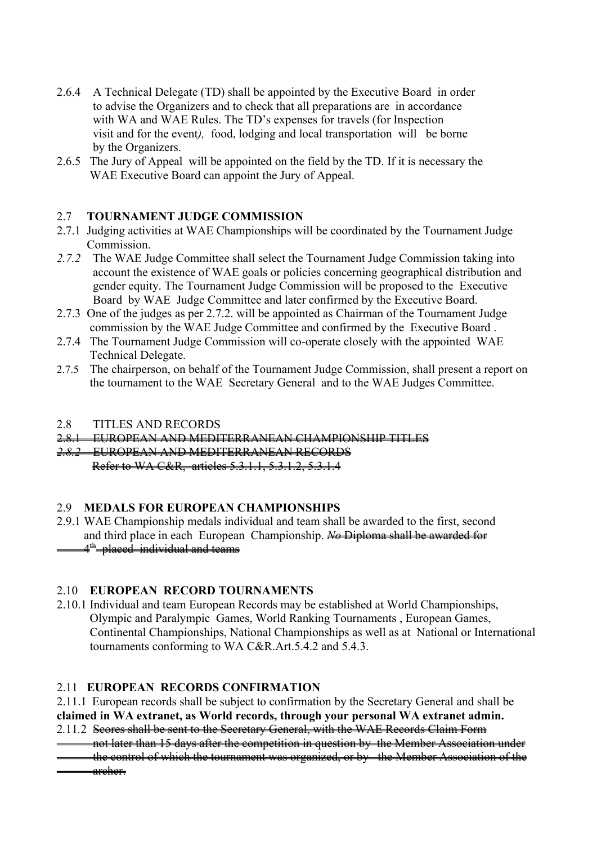- 2.6.4 A Technical Delegate (TD) shall be appointed by the Executive Board in order to advise the Organizers and to check that all preparations are in accordance with WA and WAE Rules. The TD's expenses for travels (for Inspection visit and for the event), food, lodging and local transportation will be borne by the Organizers.
- 2.6.5 The Jury of Appeal will be appointed on the field by the TD. If it is necessary the WAE Executive Board can appoint the Jury of Appeal.

## 2.7 TOURNAMENT JUDGE COMMISSION

- 2.7.1 Judging activities at WAE Championships will be coordinated by the Tournament Judge Commission.
- 2.7.2 The WAE Judge Committee shall select the Tournament Judge Commission taking into account the existence of WAE goals or policies concerning geographical distribution and gender equity. The Tournament Judge Commission will be proposed to the Executive Board by WAE Judge Committee and later confirmed by the Executive Board.
- 2.7.3 One of the judges as per 2.7.2. will be appointed as Chairman of the Tournament Judge commission by the WAE Judge Committee and confirmed by the Executive Board .
- 2.7.4 The Tournament Judge Commission will co-operate closely with the appointed WAE Technical Delegate.
- 2.7.5 The chairperson, on behalf of the Tournament Judge Commission, shall present a report on the tournament to the WAE Secretary General and to the WAE Judges Committee.

#### 2.8 TITLES AND RECORDS

2.8.1 EUROPEAN AND MEDITERRANEAN CHAMPIONSHIP TITLES

2.8.2 EUROPEAN AND MEDITERRANEAN RECORDS

Refer to WA C&R, articles 5.3.1.1, 5.3.1.2, 5.3.1.4

## 2.9 MEDALS FOR EUROPEAN CHAMPIONSHIPS

2.9.1 WAE Championship medals individual and team shall be awarded to the first, second and third place in each European Championship. No Diploma shall be awarded for 4<sup>th</sup> placed individual and teams

## 2.10 EUROPEAN RECORD TOURNAMENTS

2.10.1 Individual and team European Records may be established at World Championships, Olympic and Paralympic Games, World Ranking Tournaments , European Games, Continental Championships, National Championships as well as at National or International tournaments conforming to WA C&R.Art.5.4.2 and 5.4.3.

## 2.11 EUROPEAN RECORDS CONFIRMATION

2.11.1 European records shall be subject to confirmation by the Secretary General and shall be claimed in WA extranet, as World records, through your personal WA extranet admin.

2.11.2 Seores shall be sent to the Secretary General, with the WAE Records Claim Form

 not later than 15 days after the competition in question by the Member Association under the control of which the tournament was organized, or by the Member Association of the archer.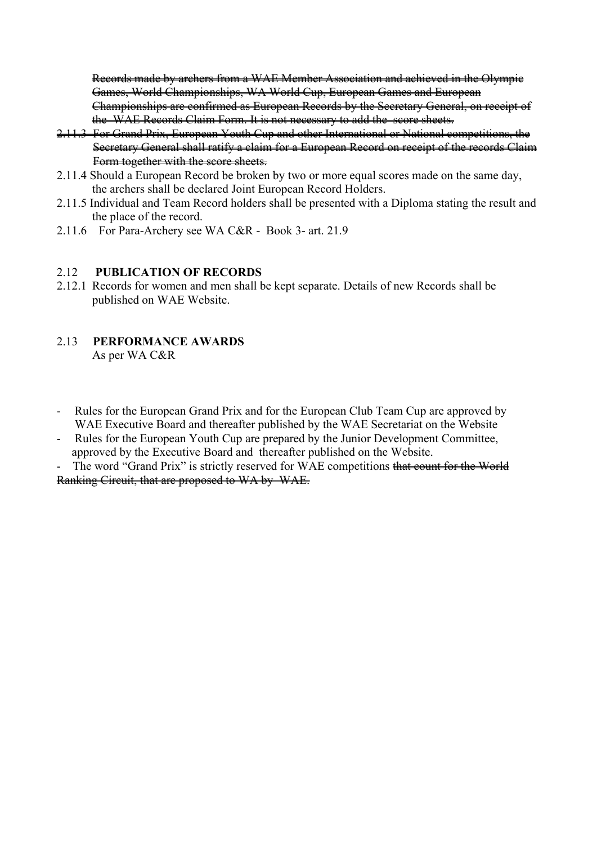Records made by archers from a WAE Member Association and achieved in the Olympic Games, World Championships, WA World Cup, European Games and European Championships are confirmed as European Records by the Secretary General, on receipt of the WAE Records Claim Form. It is not necessary to add the score sheets.

- 2.11.3 For Grand Prix, European Youth Cup and other International or National competitions, the Secretary General shall ratify a claim for a European Record on receipt of the records Claim Form together with the score sheets.
- 2.11.4 Should a European Record be broken by two or more equal scores made on the same day, the archers shall be declared Joint European Record Holders.
- 2.11.5 Individual and Team Record holders shall be presented with a Diploma stating the result and the place of the record.
- 2.11.6 For Para-Archery see WA C&R Book 3- art. 21.9

#### 2.12 PUBLICATION OF RECORDS

2.12.1 Records for women and men shall be kept separate. Details of new Records shall be published on WAE Website.

#### 2.13 PERFORMANCE AWARDS As per WA C&R

- Rules for the European Grand Prix and for the European Club Team Cup are approved by WAE Executive Board and thereafter published by the WAE Secretariat on the Website
- Rules for the European Youth Cup are prepared by the Junior Development Committee, approved by the Executive Board and thereafter published on the Website.

The word "Grand Prix" is strictly reserved for WAE competitions that count for the World Ranking Circuit, that are proposed to WA by WAE.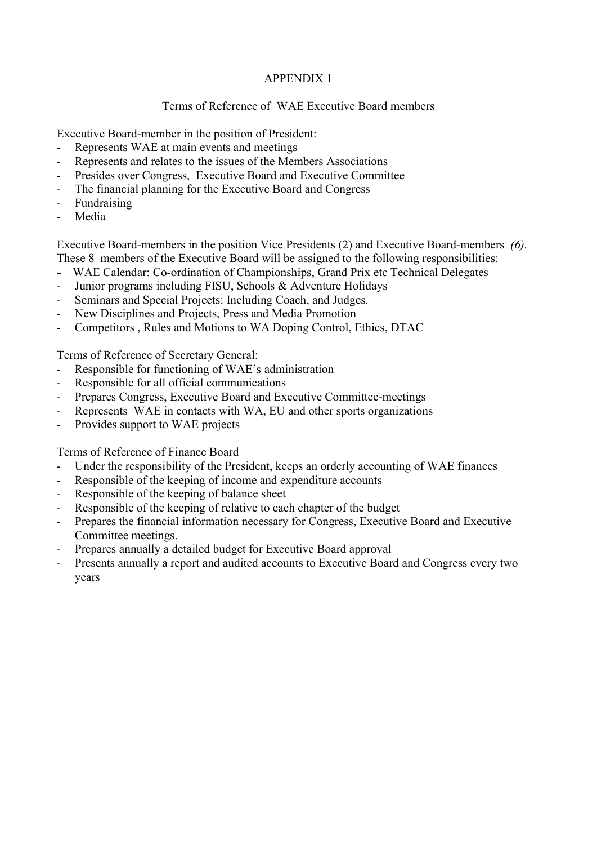## APPENDIX 1

## Terms of Reference of WAE Executive Board members

Executive Board-member in the position of President:

- Represents WAE at main events and meetings
- Represents and relates to the issues of the Members Associations
- Presides over Congress, Executive Board and Executive Committee
- The financial planning for the Executive Board and Congress
- Fundraising
- Media

Executive Board-members in the position Vice Presidents (2) and Executive Board-members (6). These 8 members of the Executive Board will be assigned to the following responsibilities:

- WAE Calendar: Co-ordination of Championships, Grand Prix etc Technical Delegates
- Junior programs including FISU, Schools & Adventure Holidays
- Seminars and Special Projects: Including Coach, and Judges.
- New Disciplines and Projects, Press and Media Promotion
- Competitors , Rules and Motions to WA Doping Control, Ethics, DTAC

Terms of Reference of Secretary General:

- Responsible for functioning of WAE's administration
- Responsible for all official communications
- Prepares Congress, Executive Board and Executive Committee-meetings
- Represents WAE in contacts with WA, EU and other sports organizations
- Provides support to WAE projects

Terms of Reference of Finance Board

- Under the responsibility of the President, keeps an orderly accounting of WAE finances
- Responsible of the keeping of income and expenditure accounts
- Responsible of the keeping of balance sheet
- Responsible of the keeping of relative to each chapter of the budget
- Prepares the financial information necessary for Congress, Executive Board and Executive Committee meetings.
- Prepares annually a detailed budget for Executive Board approval
- Presents annually a report and audited accounts to Executive Board and Congress every two years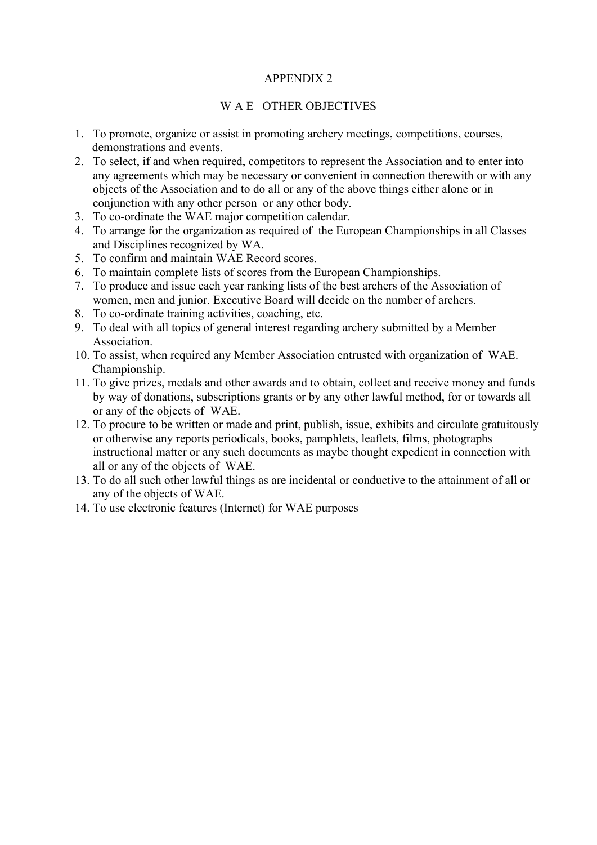#### APPENDIX 2

#### W A E OTHER OBJECTIVES

- 1. To promote, organize or assist in promoting archery meetings, competitions, courses, demonstrations and events.
- 2. To select, if and when required, competitors to represent the Association and to enter into any agreements which may be necessary or convenient in connection therewith or with any objects of the Association and to do all or any of the above things either alone or in conjunction with any other person or any other body.
- 3. To co-ordinate the WAE major competition calendar.
- 4. To arrange for the organization as required of the European Championships in all Classes and Disciplines recognized by WA.
- 5. To confirm and maintain WAE Record scores.
- 6. To maintain complete lists of scores from the European Championships.
- 7. To produce and issue each year ranking lists of the best archers of the Association of women, men and junior. Executive Board will decide on the number of archers.
- 8. To co-ordinate training activities, coaching, etc.
- 9. To deal with all topics of general interest regarding archery submitted by a Member Association.
- 10. To assist, when required any Member Association entrusted with organization of WAE. Championship.
- 11. To give prizes, medals and other awards and to obtain, collect and receive money and funds by way of donations, subscriptions grants or by any other lawful method, for or towards all or any of the objects of WAE.
- 12. To procure to be written or made and print, publish, issue, exhibits and circulate gratuitously or otherwise any reports periodicals, books, pamphlets, leaflets, films, photographs instructional matter or any such documents as maybe thought expedient in connection with all or any of the objects of WAE.
- 13. To do all such other lawful things as are incidental or conductive to the attainment of all or any of the objects of WAE.
- 14. To use electronic features (Internet) for WAE purposes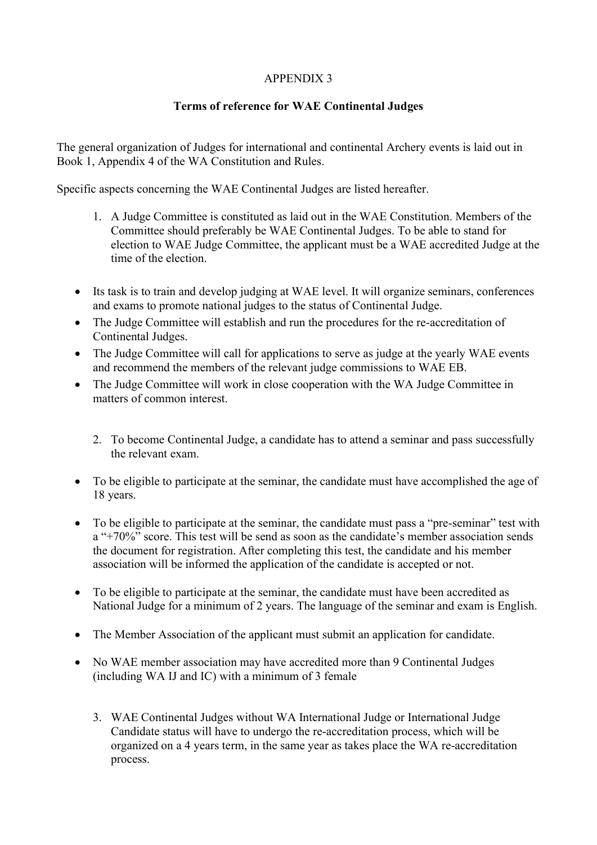# APPENDIX 3

## Terms of reference for WAE Continental Judges

The general organization of Judges for international and continental Archery events is laid out in Book 1, Appendix 4 of the WA Constitution and Rules.

Specific aspects concerning the WAE Continental Judges are listed hereafter.

- 1. A Judge Committee is constituted as laid out in the WAE Constitution. Members of the Committee should preferably be WAE Continental Judges. To be able to stand for election to WAE Judge Committee, the applicant must be a WAE accredited Judge at the time of the election.
- Its task is to train and develop judging at WAE level. It will organize seminars, conferences and exams to promote national judges to the status of Continental Judge.
- The Judge Committee will establish and run the procedures for the re-accreditation of Continental Judges.
- The Judge Committee will call for applications to serve as judge at the yearly WAE events and recommend the members of the relevant judge commissions to WAE EB.
- The Judge Committee will work in close cooperation with the WA Judge Committee in matters of common interest.
	- 2. To become Continental Judge, a candidate has to attend a seminar and pass successfully the relevant exam.
- To be eligible to participate at the seminar, the candidate must have accomplished the age of 18 years.
- To be eligible to participate at the seminar, the candidate must pass a "pre-seminar" test with a "+70%" score. This test will be send as soon as the candidate's member association sends the document for registration. After completing this test, the candidate and his member association will be informed the application of the candidate is accepted or not.
- To be eligible to participate at the seminar, the candidate must have been accredited as National Judge for a minimum of 2 years. The language of the seminar and exam is English.
- The Member Association of the applicant must submit an application for candidate.
- No WAE member association may have accredited more than 9 Continental Judges (including WA IJ and IC) with a minimum of 3 female
	- 3. WAE Continental Judges without WA International Judge or International Judge Candidate status will have to undergo the re-accreditation process, which will be organized on a 4 years term, in the same year as takes place the WA re-accreditation process.